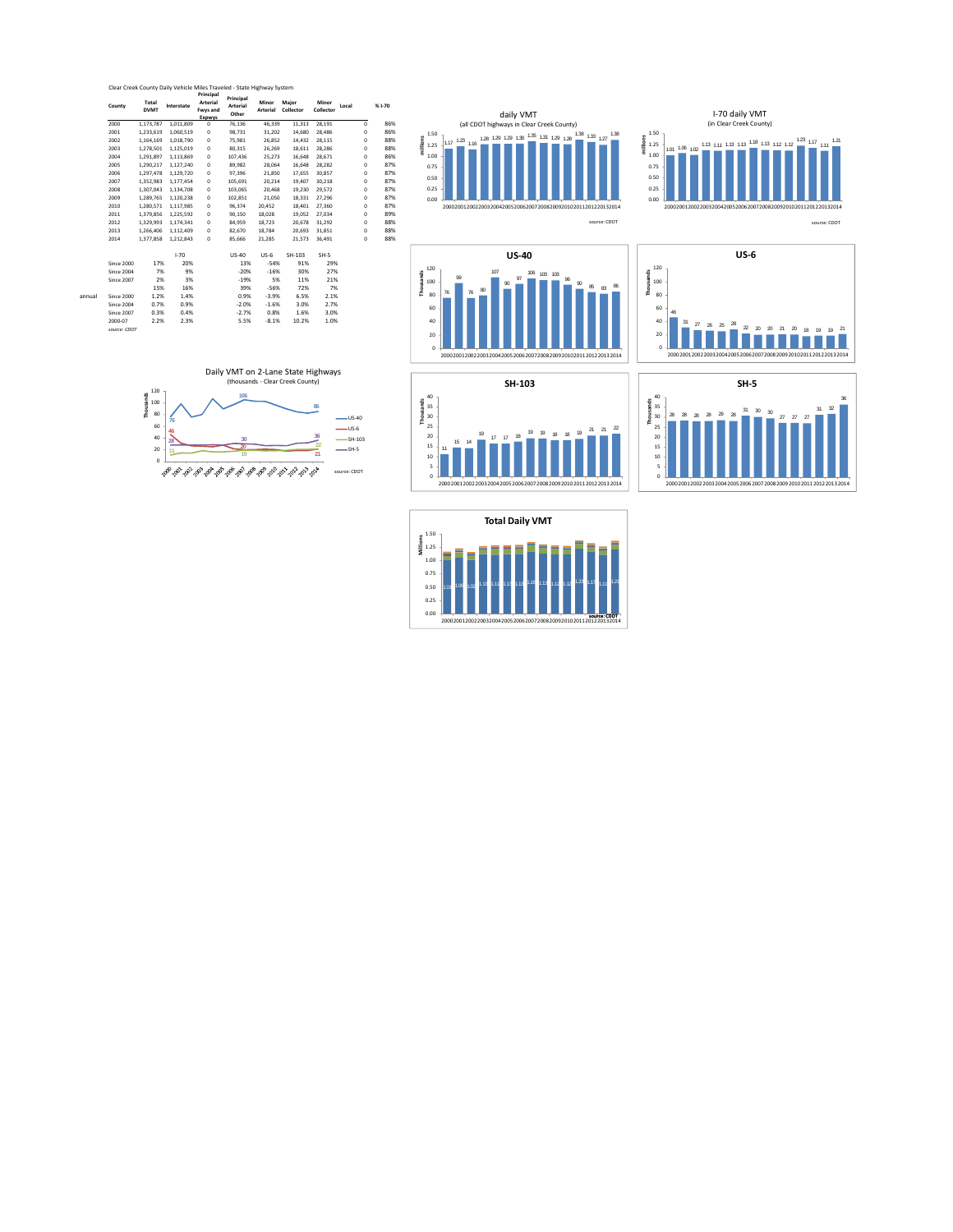

I‐70 US‐40 US‐6 SH‐103 SH‐5 Since 2000 17% 20% 13% ‐54% 91% 29% Since 2004 7% 9% ‐20% ‐16% 30% 27% Since 2007 2% 3% ‐19% 5% 11% 21% 15% 16% 39% ‐56% 72% 7% annual Since 2000 1.2% 1.4% 0.9% ‐3.9% 6.5% 2.1% Since 2004 0.7% 0.9% ‐2.0% ‐1.6% 3.0% 2.7% Since 2007 0.3% 0.4% ‐2.7% 0.8% 1.6% 3.0% 2000‐07 2.2% 2.3% 5.5% ‐8.1% 10.2% 1.0%

*Since* 2000<br>*Since* 2004<br>*Since* 2007<br>2000-07<br>*source: CDOT* 



0 5



2000 20012002 2003 2004 20052006 2007 20082009 2010 2011 20122013 2014



0.00 0.25 **1.50**<br> **million**<br> **1.25**<br> **1.00**<br> **0.75**<br> **0.50** 

120

99

107





200020012002200320042005200620072008200920102011201220132014

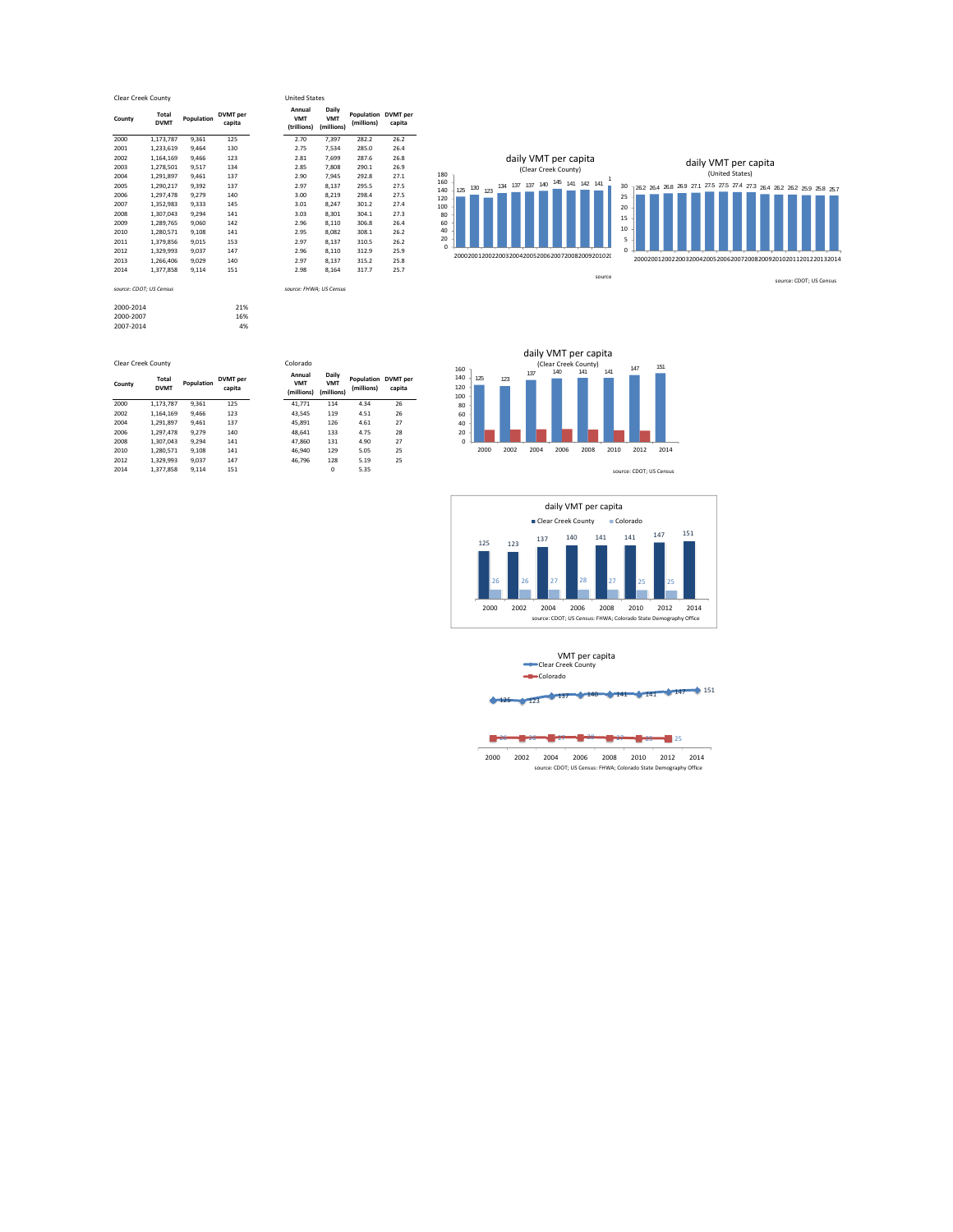|          | Clear Creek County      |            |                           | <b>United States</b>                |                                   |                               |       |
|----------|-------------------------|------------|---------------------------|-------------------------------------|-----------------------------------|-------------------------------|-------|
| County   | Total<br><b>DVMT</b>    | Population | <b>DVMT</b> per<br>capita | Annual<br><b>VMT</b><br>(trillions) | Daily<br><b>VMT</b><br>(millions) | Population DVMT<br>(millions) | capit |
| 2000     | 1,173,787               | 9,361      | 125                       | 2.70                                | 7,397                             | 282.2                         | 26.2  |
| 2001     | 1.233.619               | 9.464      | 130                       | 2.75                                | 7.534                             | 285.0                         | 26.4  |
| 2002     | 1,164,169               | 9,466      | 123                       | 2.81                                | 7.699                             | 287.6                         | 26.8  |
| 2003     | 1.278.501               | 9,517      | 134                       | 2.85                                | 7.808                             | 290.1                         | 26.9  |
| 2004     | 1,291,897               | 9,461      | 137                       | 2.90                                | 7,945                             | 292.8                         | 27.1  |
| 2005     | 1,290,217               | 9,392      | 137                       | 2.97                                | 8,137                             | 295.5                         | 27.5  |
| 2006     | 1,297,478               | 9,279      | 140                       | 3.00                                | 8,219                             | 298.4                         | 27.5  |
| 2007     | 1,352,983               | 9,333      | 145                       | 3.01                                | 8,247                             | 301.2                         | 27.4  |
| 2008     | 1.307.043               | 9,294      | 141                       | 3.03                                | 8,301                             | 304.1                         | 27.3  |
| 2009     | 1,289,765               | 9,060      | 142                       | 2.96                                | 8,110                             | 306.8                         | 26.4  |
| 2010     | 1,280,571               | 9,108      | 141                       | 2.95                                | 8.082                             | 308.1                         | 26.2  |
| 2011     | 1,379,856               | 9,015      | 153                       | 2.97                                | 8,137                             | 310.5                         | 26.2  |
| 2012     | 1.329.993               | 9,037      | 147                       | 2.96                                | 8,110                             | 312.9                         | 25.9  |
| 2013     | 1,266,406               | 9,029      | 140                       | 2.97                                | 8,137                             | 315.2                         | 25.8  |
| 2014     | 1.377.858               | 9,114      | 151                       | 2.98                                | 8,164                             | 317.7                         | 25.7  |
|          | source: CDOT: US Census |            |                           | source: FHWA: US Census             |                                   |                               |       |
| -------- |                         |            | $  -$                     |                                     |                                   |                               |       |

| 2013      | 1.266.406               | 9.029 | 140 | 2.97                    | 8.137 |
|-----------|-------------------------|-------|-----|-------------------------|-------|
| 2014      | 1,377,858               | 9.114 | 151 | 2.98                    | 8,164 |
|           | source: CDOT; US Census |       |     | source: FHWA: US Census |       |
| 2000-2014 |                         |       | 21% |                         |       |
| 2000-2007 |                         |       | 16% |                         |       |
| 2007-2014 |                         |       | 4%  |                         |       |
|           |                         |       |     |                         |       |
|           |                         |       |     |                         |       |
|           | Clear Creek County      |       |     | Colorado                |       |
|           |                         |       |     |                         |       |

| County | Total<br><b>DVMT</b> | Population | <b>DVMT</b> per<br>capita | Annual<br><b>VMT</b><br>(millions) | Daily<br><b>VMT</b><br>(millions) | <b>Population DVMT per</b><br>(millions) | capita |  |
|--------|----------------------|------------|---------------------------|------------------------------------|-----------------------------------|------------------------------------------|--------|--|
| 2000   | 1.173.787            | 9.361      | 125                       | 41.771                             | 114                               | 4.34                                     | 26     |  |
| 2002   | 1.164.169            | 9.466      | 123                       | 43.545                             | 119                               | 4.51                                     | 26     |  |
| 2004   | 1.291.897            | 9.461      | 137                       | 45.891                             | 126                               | 4.61                                     | 27     |  |
| 2006   | 1.297.478            | 9.279      | 140                       | 48.641                             | 133                               | 4.75                                     | 28     |  |
| 2008   | 1.307.043            | 9.294      | 141                       | 47.860                             | 131                               | 4.90                                     | 27     |  |
| 2010   | 1.280.571            | 9.108      | 141                       | 46.940                             | 129                               | 5.05                                     | 25     |  |
| 2012   | 1.329.993            | 9.037      | 147                       | 46.796                             | 128                               | 5.19                                     | 25     |  |
| 2014   | 1.377.858            | 9.114      | 151                       |                                    | $\mathbf 0$                       | 5.35                                     |        |  |

United States

**Population (millions) DVMT per capita**



125 123 (Clear Creek County)<br>137 140 141 141 147 151 0 160<br>140<br>100<br>80<br>60<br>40<br>20 2000 2002 2004 2006 2008 2010 2012 2014 daily VMT per capita source: CDOT; US Census





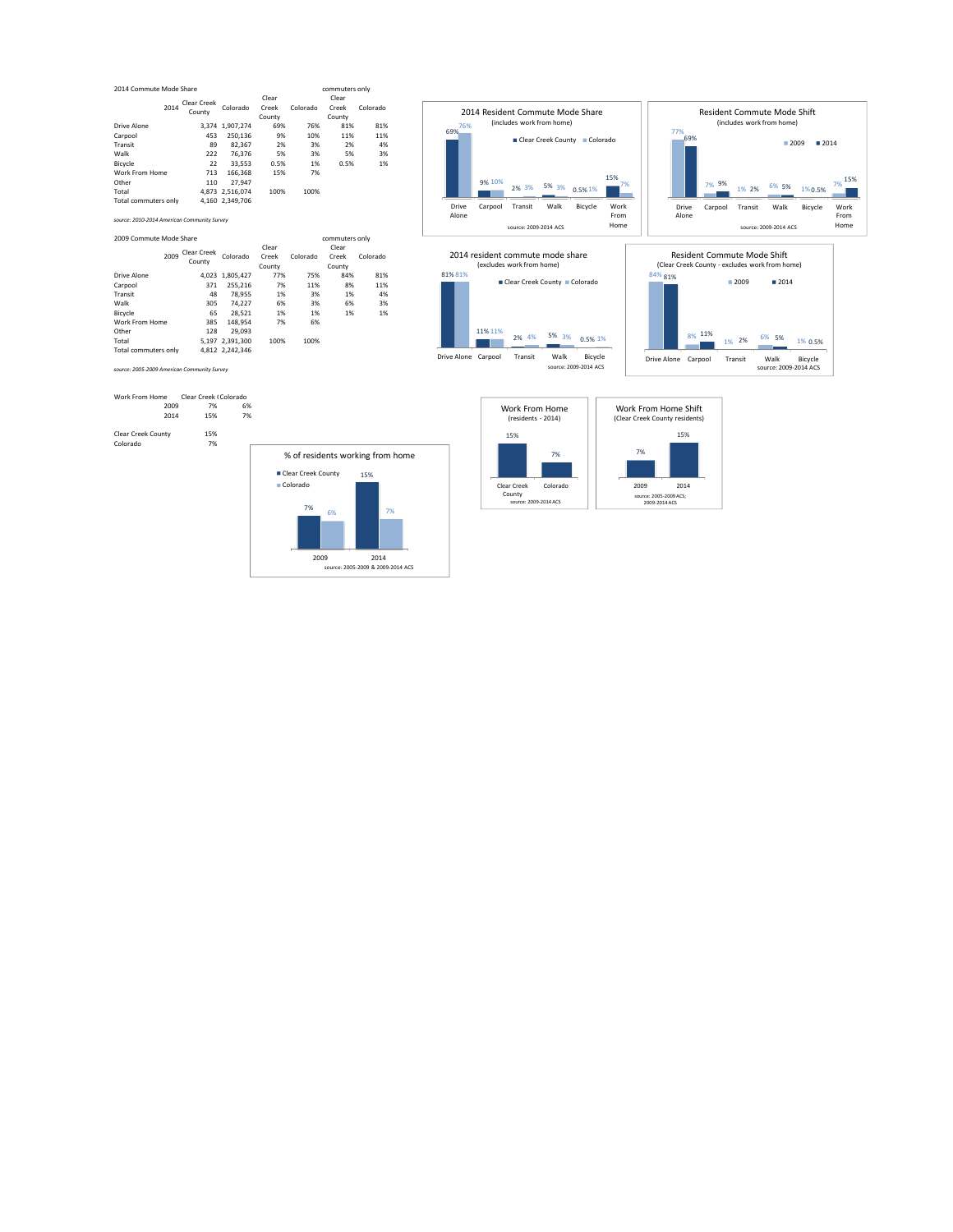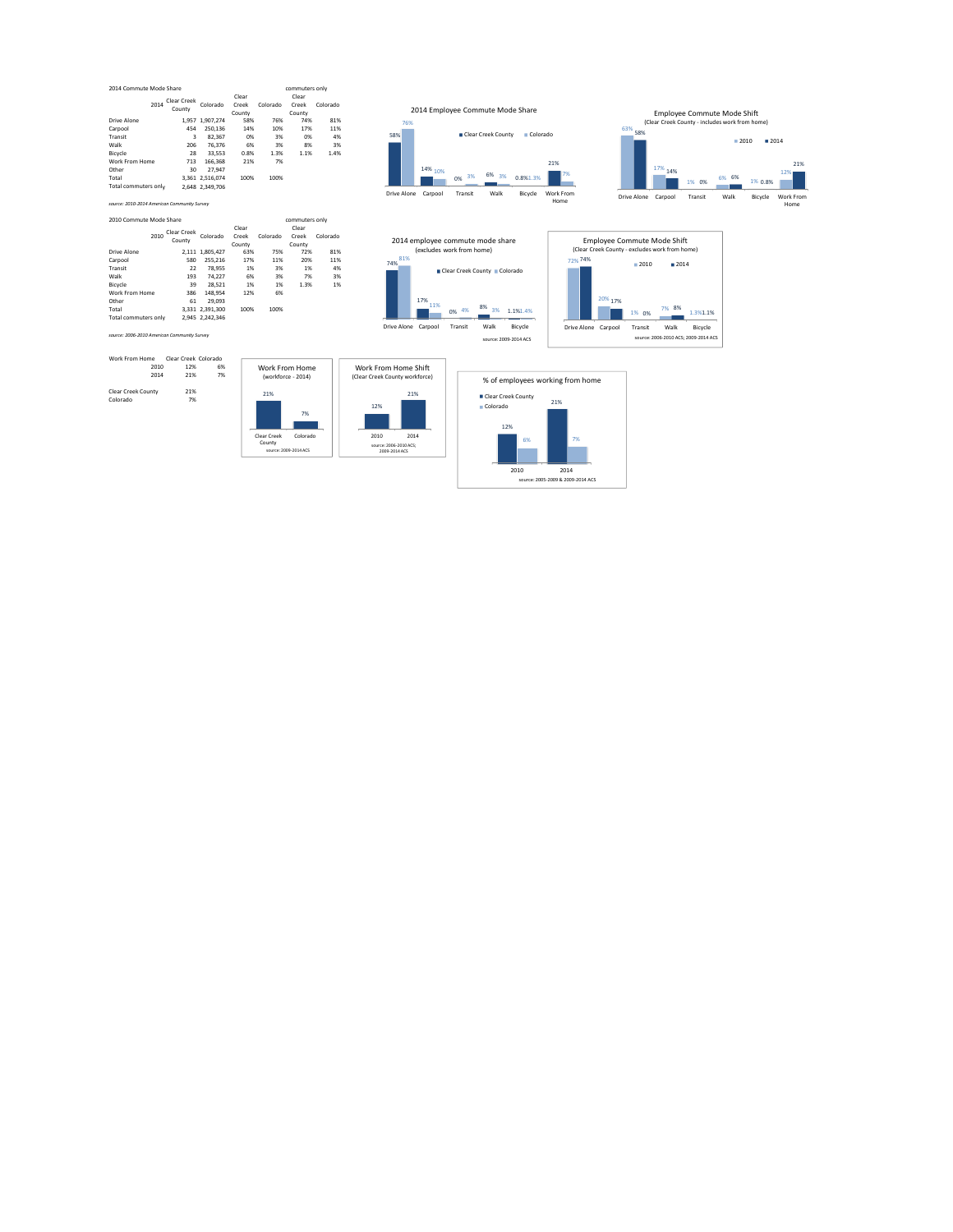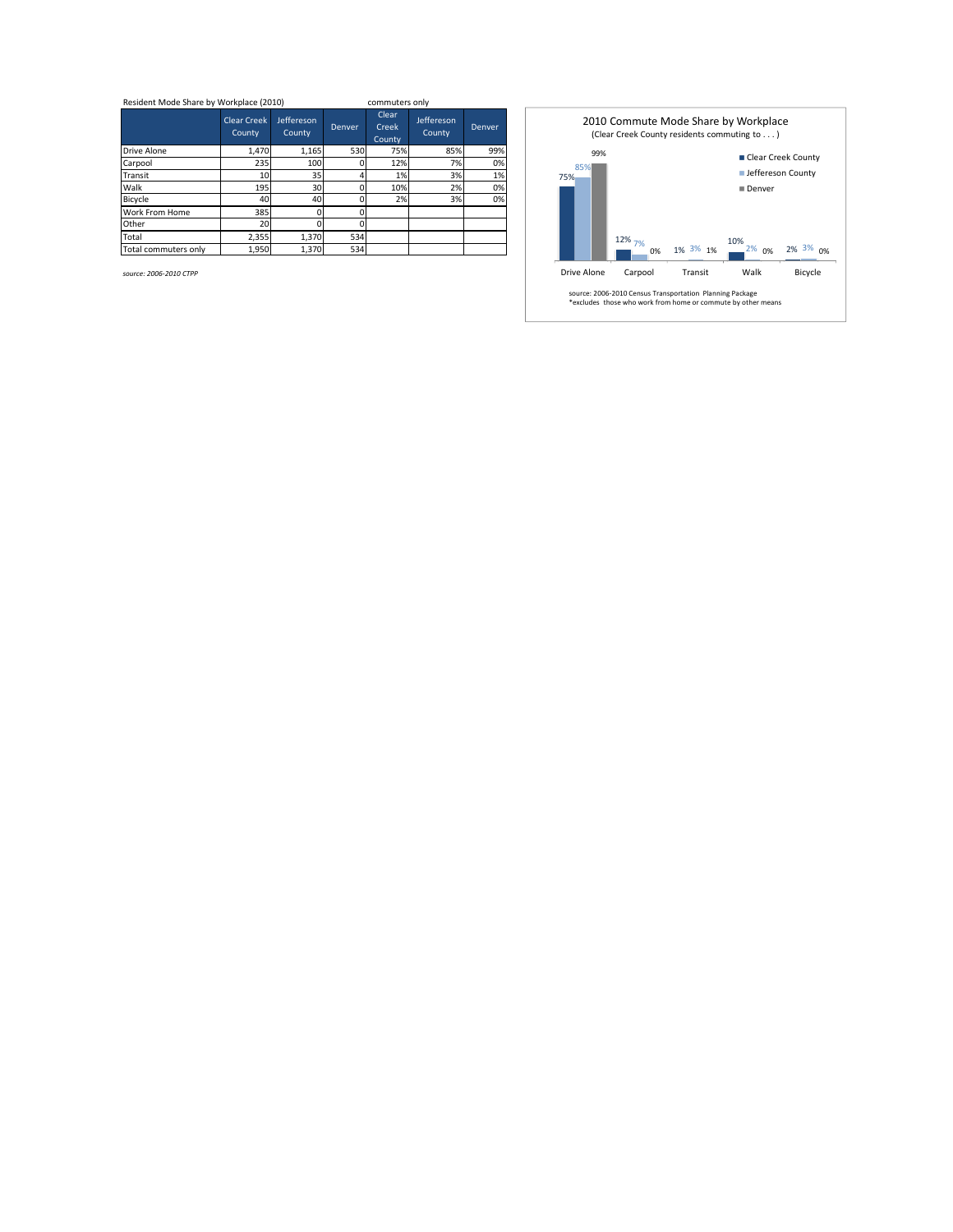| Resident Mode Share by Workplace (2010) |                              |                      | commuters only |                          |                      |        |  |
|-----------------------------------------|------------------------------|----------------------|----------------|--------------------------|----------------------|--------|--|
|                                         | <b>Clear Creek</b><br>County | Jeffereson<br>County | Denver         | Clear<br>Creek<br>County | Jeffereson<br>County | Denver |  |
| Drive Alone                             | 1.470                        | 1.165                | 530            | 75%                      | 85%                  | 99%    |  |
| Carpool                                 | 235                          | 100                  |                | 12%                      | 7%                   | 0%     |  |
| Transit                                 | 10                           | 35                   |                | 1%                       | 3%                   | 1%     |  |
| Walk                                    | 195                          | 30                   |                | 10%                      | 2%                   | 0%     |  |
| Bicycle                                 | 40                           | 40                   |                | 2%                       | 3%                   | 0%     |  |
| <b>Work From Home</b>                   | 385                          |                      |                |                          |                      |        |  |
| Other                                   | 20                           |                      |                |                          |                      |        |  |
| Total                                   | 2,355                        | 1.370                | 534            |                          |                      |        |  |
| Total commuters only                    | 1.950                        | 1.370                | 534            |                          |                      |        |  |

75% 12% 1% 7% 3% 2% 3% 0%  $1\%$   $3\%$  1%  $10\%$  2% 0% 2% 3% 0% 85% 99% Drive Alone Carpool Transit Walk Bicycle 2010 Commute Mode Share by Workplace (Clear Creek County residents commuting to . . . ) ■ Clear Creek County ■ Jeffereson County Denver source: 2006‐2010 Census Transportation Planning Package \*excludes those who work from home or commute by other means

*source: 2006‐2010 CTPP*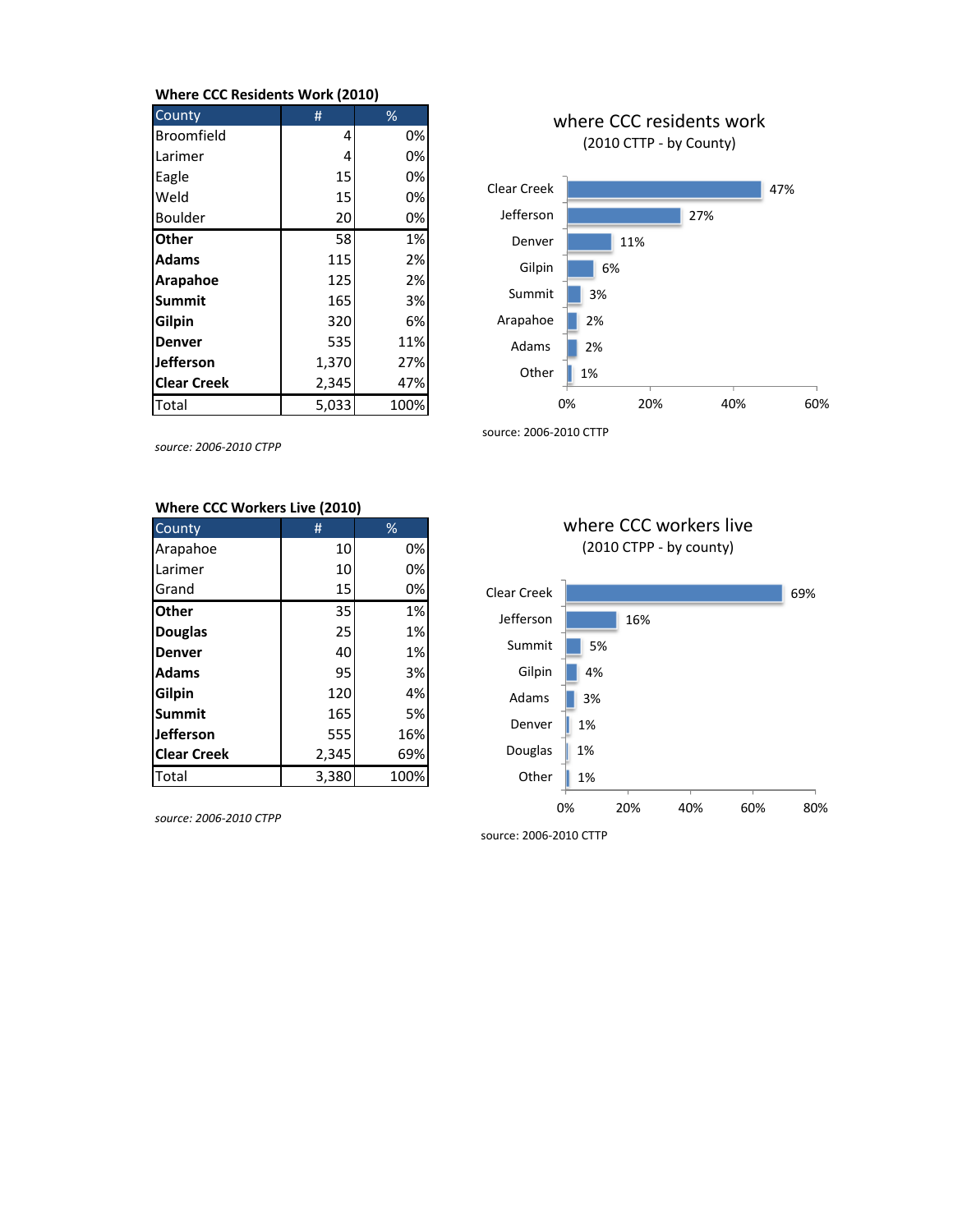## **Where CCC Residents Work (2010)**

| County             | #     | %    |
|--------------------|-------|------|
| Broomfield         | 4     | 0%   |
| Larimer            | 4     | 0%   |
| Eagle              | 15    | 0%   |
| Weld               | 15    | 0%   |
| Boulder            | 20    | 0%   |
| <b>Other</b>       | 58    | 1%   |
| <b>Adams</b>       | 115   | 2%   |
| Arapahoe           | 125   | 2%   |
| <b>Summit</b>      | 165   | 3%   |
| Gilpin             | 320   | 6%   |
| <b>Denver</b>      | 535   | 11%  |
| Jefferson          | 1,370 | 27%  |
| <b>Clear Creek</b> | 2,345 | 47%  |
| Total              | 5,033 | 100% |



*source: 2006‐2010 CTPP*

# **Where CCC Workers Live (2010)**

| County             | #     | $\frac{9}{6}$ |
|--------------------|-------|---------------|
| Arapahoe           | 10    | 0%            |
| Larimer            | 10    | 0%            |
| Grand              | 15    | 0%            |
| <b>Other</b>       | 35    | 1%            |
| <b>Douglas</b>     | 25    | 1%            |
| <b>Denver</b>      | 40    | 1%            |
| <b>Adams</b>       | 95    | 3%            |
| Gilpin             | 120   | 4%            |
| Summit             | 165   | 5%            |
| <b>Jefferson</b>   | 555   | 16%           |
| <b>Clear Creek</b> | 2,345 | 69%           |
| Total              | 3,380 | 100%          |

*source: 2006‐2010 CTPP*





source: 2006‐2010 CTTP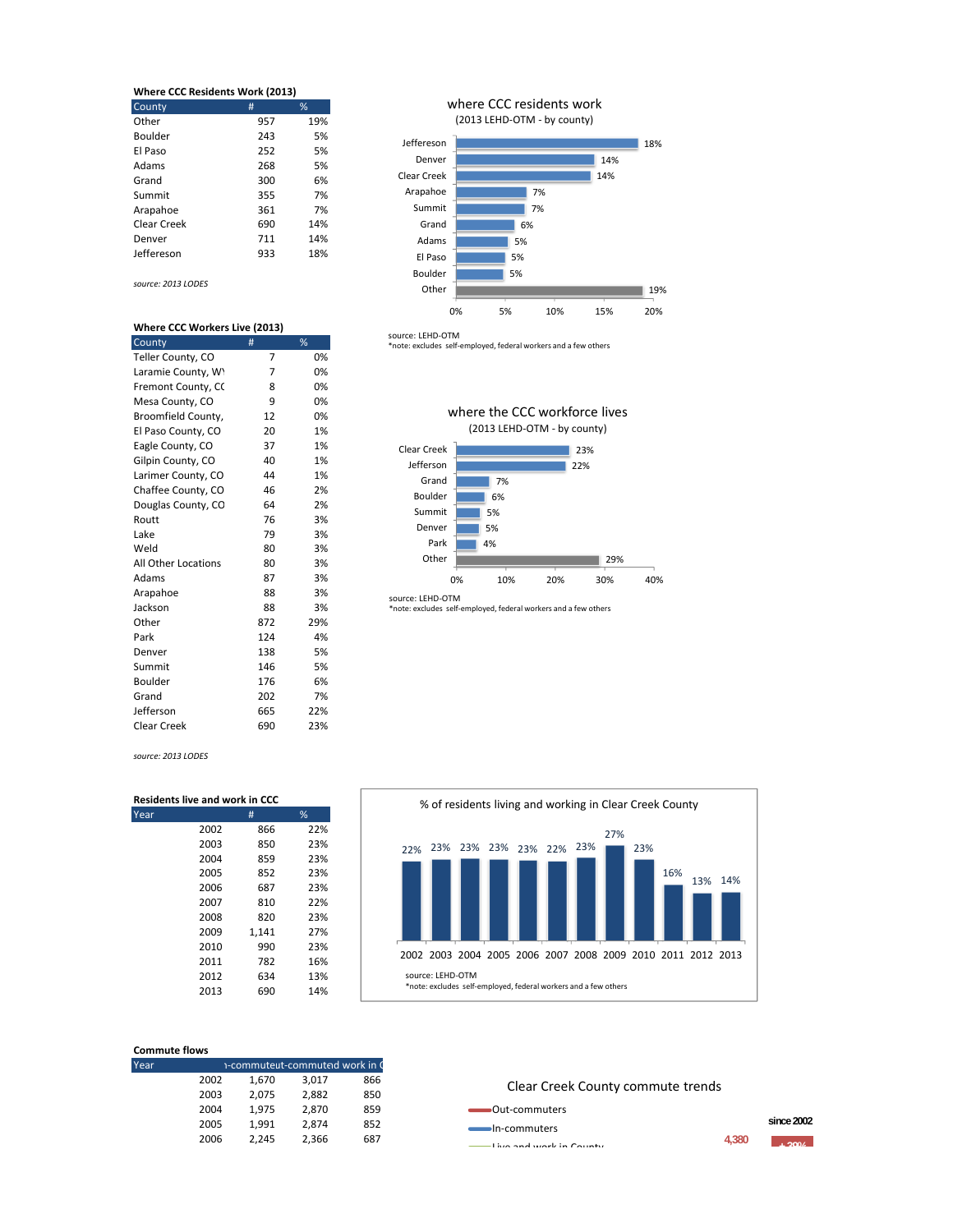| <b>Where CCC Residents Work (2013)</b> |     |     |  |  |
|----------------------------------------|-----|-----|--|--|
| County                                 | #   | %   |  |  |
| Other                                  | 957 | 19% |  |  |
| Boulder                                | 243 | 5%  |  |  |
| El Paso                                | 252 | 5%  |  |  |
| Adams                                  | 268 | 5%  |  |  |
| Grand                                  | 300 | 6%  |  |  |
| Summit                                 | 355 | 7%  |  |  |
| Arapahoe                               | 361 | 7%  |  |  |
| Clear Creek                            | 690 | 14% |  |  |
| Denver                                 | 711 | 14% |  |  |
| Jeffereson                             | 933 | 18% |  |  |

*source: 2013 LODES*

#### **Where CCC Workers Live (2013)**

| County              | #   | %   |
|---------------------|-----|-----|
| Teller County, CO   | 7   | 0%  |
| Laramie County, WY  | 7   | 0%  |
| Fremont County, CC  | 8   | 0%  |
| Mesa County, CO     | 9   | 0%  |
| Broomfield County,  | 12  | 0%  |
| El Paso County, CO  | 20  | 1%  |
| Eagle County, CO    | 37  | 1%  |
| Gilpin County, CO   | 40  | 1%  |
| Larimer County, CO  | 44  | 1%  |
| Chaffee County, CO  | 46  | 2%  |
| Douglas County, CO  | 64  | 2%  |
| Routt               | 76  | 3%  |
| Lake                | 79  | 3%  |
| Weld                | 80  | 3%  |
| All Other Locations | 80  | 3%  |
| Adams               | 87  | 3%  |
| Arapahoe            | 88  | 3%  |
| Jackson             | 88  | 3%  |
| Other               | 872 | 29% |
| Park                | 124 | 4%  |
| Denver              | 138 | 5%  |
| Summit              | 146 | 5%  |
| Boulder             | 176 | 6%  |
| Grand               | 202 | 7%  |
| Jefferson           | 665 | 22% |
| <b>Clear Creek</b>  | 690 | 23% |

### where CCC residents work (2013 LEHD‐OTM ‐ by county)



source: LEHD‐OTM \*note: excludes self‐employed, federal workers and a few others





source: LEHD‐OTM \*note: excludes self‐employed, federal workers and a few others

*source: 2013 LODES*

| <b>Residents live and work in CCC</b> |      |       |     |  |
|---------------------------------------|------|-------|-----|--|
| ear/                                  |      | #     | %   |  |
|                                       | 2002 | 866   | 22% |  |
|                                       | 2003 | 850   | 23% |  |
|                                       | 2004 | 859   | 23% |  |
|                                       | 2005 | 852   | 23% |  |
|                                       | 2006 | 687   | 23% |  |
|                                       | 2007 | 810   | 22% |  |
|                                       | 2008 | 820   | 23% |  |
|                                       | 2009 | 1,141 | 27% |  |
|                                       | 2010 | 990   | 23% |  |
|                                       | 2011 | 782   | 16% |  |
|                                       | 2012 | 634   | 13% |  |
|                                       | 2013 | 690   | 14% |  |



| <b>Commute flows</b> |      |                                |       |     |  |  |
|----------------------|------|--------------------------------|-------|-----|--|--|
| Year                 |      | 1-commuteut-commuted work in C |       |     |  |  |
|                      | 2002 | 1,670                          | 3,017 | 866 |  |  |
|                      | 2003 | 2,075                          | 2,882 | 850 |  |  |
|                      | 2004 | 1,975                          | 2,870 | 859 |  |  |
|                      | 2005 | 1,991                          | 2.874 | 852 |  |  |
|                      | 2006 | 2.245                          | 2,366 | 687 |  |  |

### Clear Creek County commute trends

Out‐commuters

In‐commuters  $\frac{1}{4,380}$   $\frac{1}{4,300}$   $\frac{1}{4,300}$ 

**since 2002**

**4,380**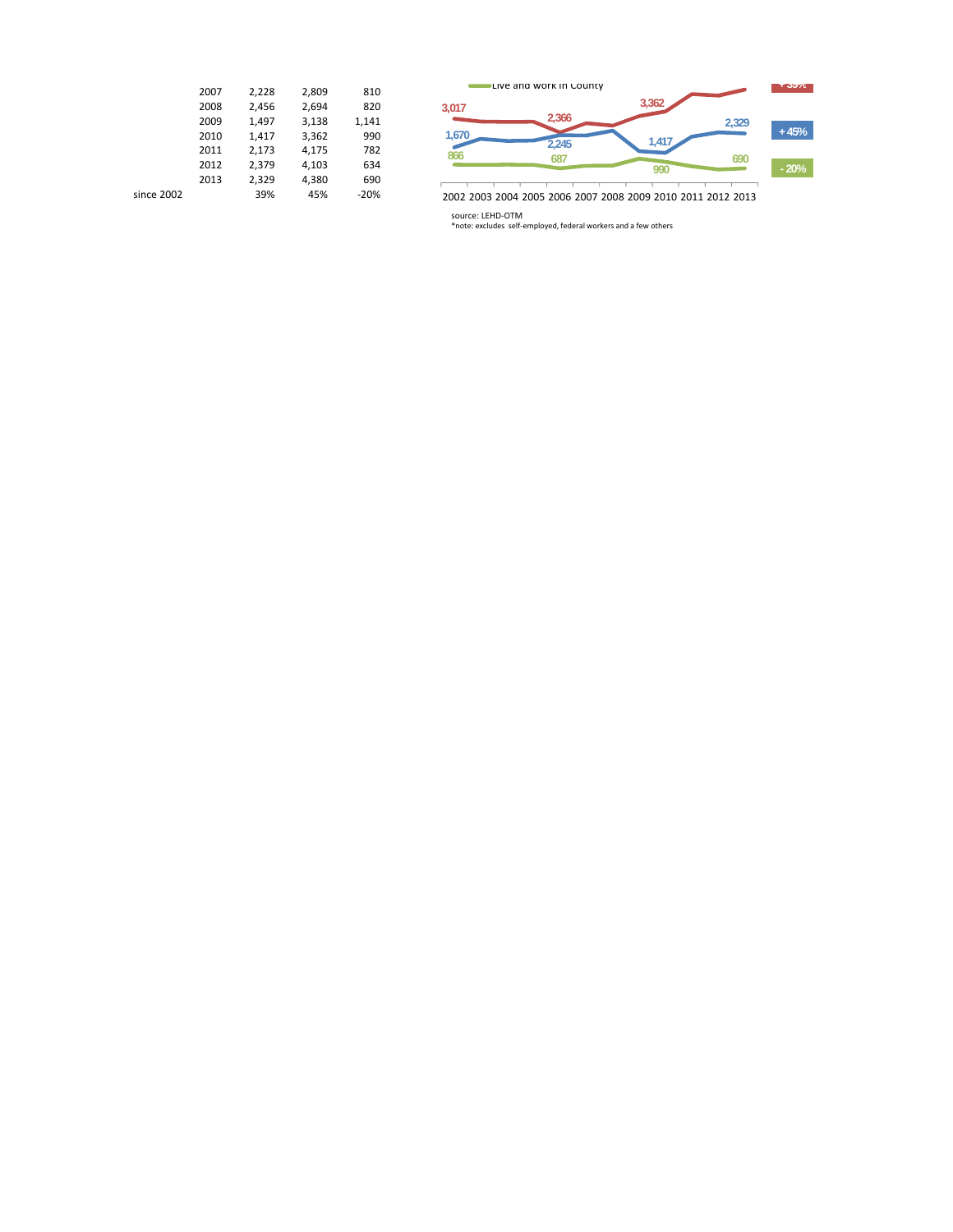|            | 2007 | 2.228 | 2,809 | 810    |
|------------|------|-------|-------|--------|
|            | 2008 | 2,456 | 2,694 | 820    |
|            | 2009 | 1.497 | 3,138 | 1,141  |
|            | 2010 | 1,417 | 3,362 | 990    |
|            | 2011 | 2,173 | 4.175 | 782    |
|            | 2012 | 2.379 | 4,103 | 634    |
|            | 2013 | 2.329 | 4.380 | 690    |
| since 2002 |      | 39%   | 45%   | $-20%$ |
|            |      |       |       |        |



2002 2003 2004 2005 2006 2007 2008 2009 2010 2011 2012 2013

source: LEHD‐OTM \*note: excludes self‐employed, federal workers and a few others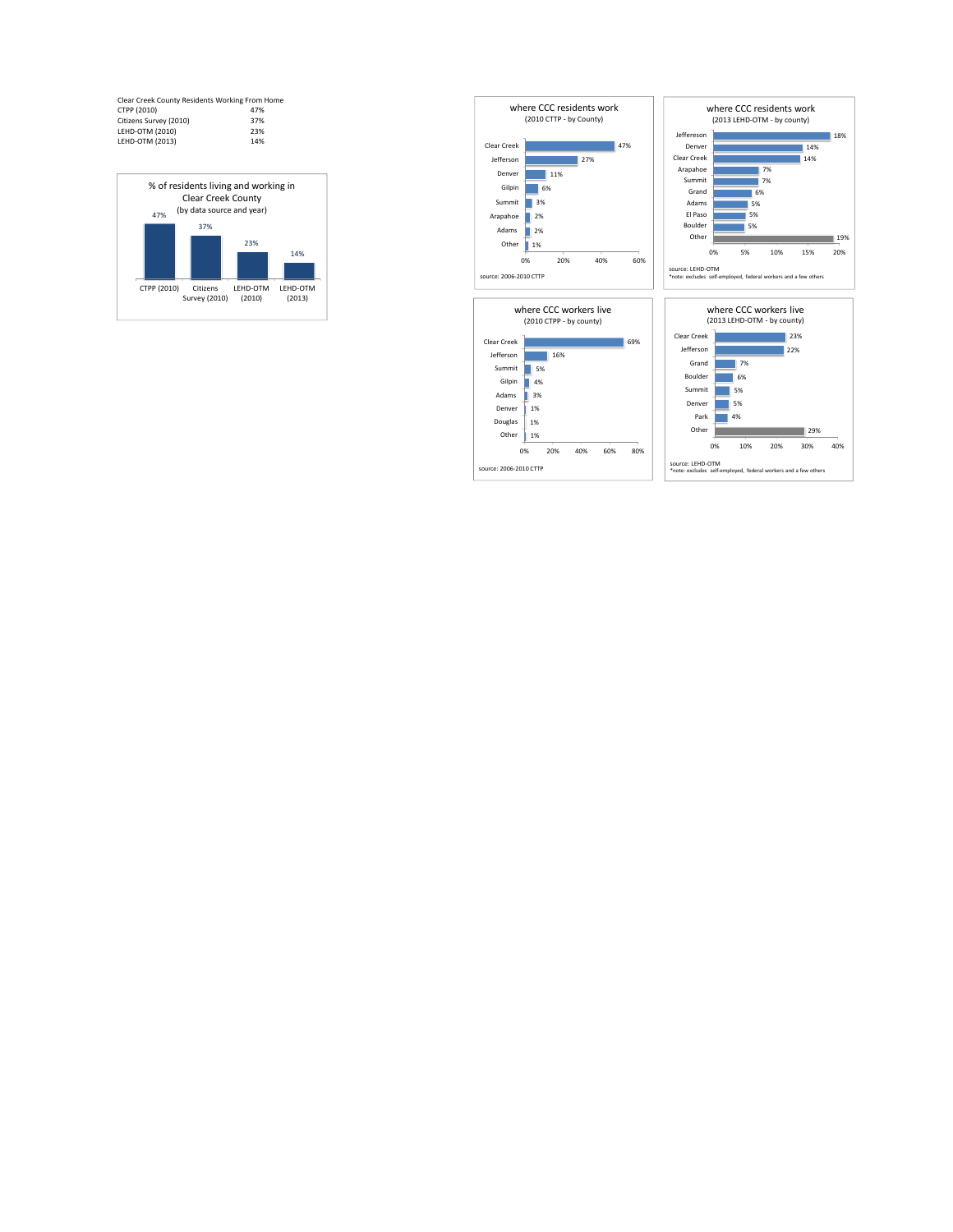| Clear Creek County Residents Working From Home |     |
|------------------------------------------------|-----|
| CTPP (2010)                                    | 47% |
| Citizens Survey (2010)                         | 37% |
| LEHD-OTM (2010)                                | 23% |
| LEHD-OTM (2013)                                | 14% |